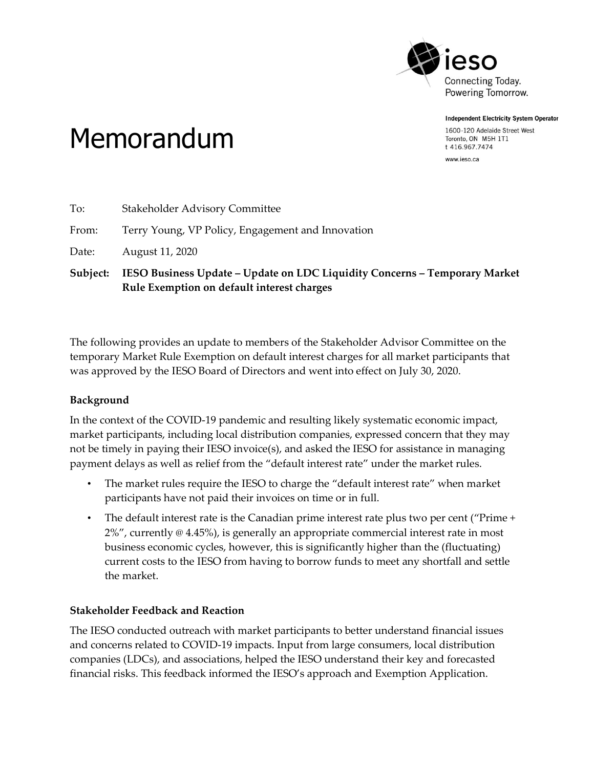

**Independent Electricity System Operator** 

1600-120 Adelaide Street West Toronto, ON M5H 1T1 t 416.967.7474

www.ieso.ca

## Memorandum

|          | Rule Exemption on default interest charges                                 |
|----------|----------------------------------------------------------------------------|
| Subject: | IESO Business Update - Update on LDC Liquidity Concerns - Temporary Market |
| Date:    | August 11, 2020                                                            |
| From:    | Terry Young, VP Policy, Engagement and Innovation                          |
| To:      | <b>Stakeholder Advisory Committee</b>                                      |

The following provides an update to members of the Stakeholder Advisor Committee on the temporary Market Rule Exemption on default interest charges for all market participants that was approved by the IESO Board of Directors and went into effect on July 30, 2020.

## **Background**

In the context of the COVID-19 pandemic and resulting likely systematic economic impact, market participants, including local distribution companies, expressed concern that they may not be timely in paying their IESO invoice(s), and asked the IESO for assistance in managing payment delays as well as relief from the "default interest rate" under the market rules.

- The market rules require the IESO to charge the "default interest rate" when market participants have not paid their invoices on time or in full.
- The default interest rate is the Canadian prime interest rate plus two per cent ("Prime +  $2\%$ ", currently  $\infty$  4.45%), is generally an appropriate commercial interest rate in most business economic cycles, however, this is significantly higher than the (fluctuating) current costs to the IESO from having to borrow funds to meet any shortfall and settle the market.

## **Stakeholder Feedback and Reaction**

The IESO conducted outreach with market participants to better understand financial issues and concerns related to COVID-19 impacts. Input from large consumers, local distribution companies (LDCs), and associations, helped the IESO understand their key and forecasted financial risks. This feedback informed the IESO's approach and Exemption Application.